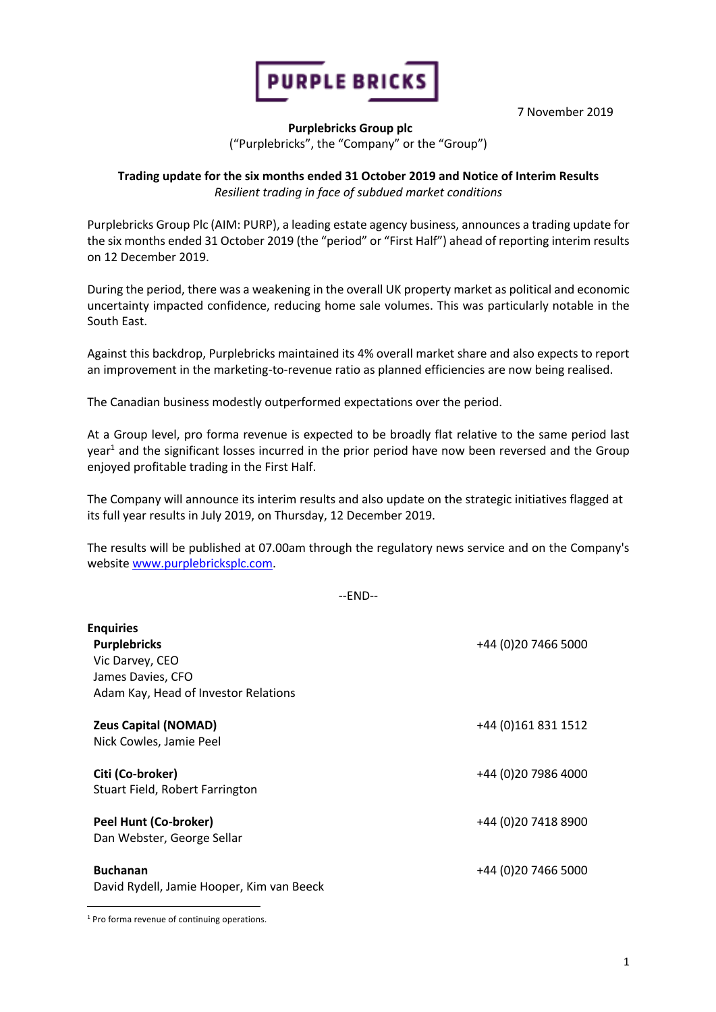

7 November 2019

## **Purplebricks Group plc** ("Purplebricks", the "Company" or the "Group")

## **Trading update for the six months ended 31 October 2019 and Notice of Interim Results**  *Resilient trading in face of subdued market conditions*

Purplebricks Group Plc (AIM: PURP), a leading estate agency business, announces a trading update for the six months ended 31 October 2019 (the "period" or "First Half") ahead of reporting interim results on 12 December 2019.

During the period, there was a weakening in the overall UK property market as political and economic uncertainty impacted confidence, reducing home sale volumes. This was particularly notable in the South East.

Against this backdrop, Purplebricks maintained its 4% overall market share and also expects to report an improvement in the marketing-to-revenue ratio as planned efficiencies are now being realised.

The Canadian business modestly outperformed expectations over the period.

At a Group level, pro forma revenue is expected to be broadly flat relative to the same period last year<sup>1</sup> and the significant losses incurred in the prior period have now been reversed and the Group enjoyed profitable trading in the First Half.

The Company will announce its interim results and also update on the strategic initiatives flagged at its full year results in July 2019, on Thursday, 12 December 2019.

The results will be published at 07.00am through the regulatory news service and on the Company's website www.purplebricksplc.com.

--END--

| <b>Enquiries</b><br><b>Purplebricks</b><br>Vic Darvey, CEO<br>James Davies, CFO<br>Adam Kay, Head of Investor Relations | +44 (0) 20 7466 5000 |
|-------------------------------------------------------------------------------------------------------------------------|----------------------|
| <b>Zeus Capital (NOMAD)</b><br>Nick Cowles, Jamie Peel                                                                  | +44 (0)161 831 1512  |
| Citi (Co-broker)<br>Stuart Field, Robert Farrington                                                                     | +44 (0)20 7986 4000  |
| Peel Hunt (Co-broker)<br>Dan Webster, George Sellar                                                                     | +44 (0)20 7418 8900  |
| <b>Buchanan</b><br>David Rydell, Jamie Hooper, Kim van Beeck                                                            | +44 (0)20 7466 5000  |

<sup>1</sup> Pro forma revenue of continuing operations.